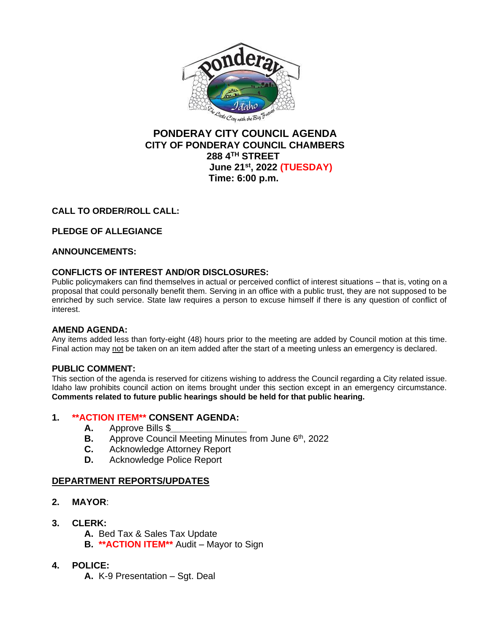

## **PONDERAY CITY COUNCIL AGENDA CITY OF PONDERAY COUNCIL CHAMBERS 288 4TH STREET June 21st, 2022 (TUESDAY) Time: 6:00 p.m.**

# **CALL TO ORDER/ROLL CALL:**

# **PLEDGE OF ALLEGIANCE**

### **ANNOUNCEMENTS:**

### **CONFLICTS OF INTEREST AND/OR DISCLOSURES:**

Public policymakers can find themselves in actual or perceived conflict of interest situations – that is, voting on a proposal that could personally benefit them. Serving in an office with a public trust, they are not supposed to be enriched by such service. State law requires a person to excuse himself if there is any question of conflict of interest.

### **AMEND AGENDA:**

Any items added less than forty-eight (48) hours prior to the meeting are added by Council motion at this time. Final action may not be taken on an item added after the start of a meeting unless an emergency is declared.

### **PUBLIC COMMENT:**

This section of the agenda is reserved for citizens wishing to address the Council regarding a City related issue. Idaho law prohibits council action on items brought under this section except in an emergency circumstance. **Comments related to future public hearings should be held for that public hearing.**

### **1. \*\*ACTION ITEM\*\* CONSENT AGENDA:**

- **A.** Approve Bills \$*\_\_\_\_\_\_\_\_\_\_\_\_\_\_\_*
- **B.** Approve Council Meeting Minutes from June 6<sup>th</sup>, 2022
- **C.** Acknowledge Attorney Report
- **D.** Acknowledge Police Report

### **DEPARTMENT REPORTS/UPDATES**

- **2. MAYOR**:
- **3. CLERK:**
	- **A.** Bed Tax & Sales Tax Update
	- **B. \*\*ACTION ITEM\*\*** Audit Mayor to Sign
- **4. POLICE:**
	- **A.** K-9 Presentation Sgt. Deal